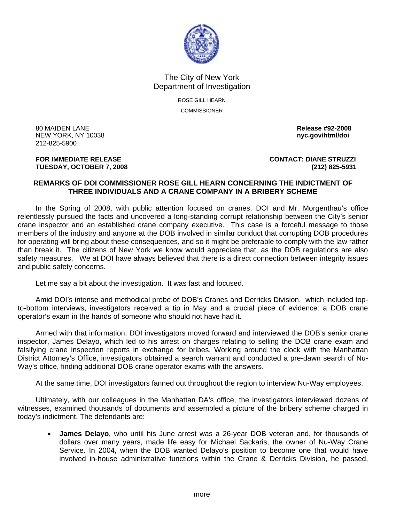

## The City of New York Department of Investigation

ROSE GILL HEARN **COMMISSIONER** 

80 MAIDEN LANE **Release #92-2008 NEW YORK, NY 10038** 212-825-5900

## **TUESDAY, OCTOBER 7, 2008 (212) 825-5931**

**FOR IMMEDIATE RELEASE CONTACT: DIANE STRUZZI** 

## **REMARKS OF DOI COMMISSIONER ROSE GILL HEARN CONCERNING THE INDICTMENT OF THREE INDIVIDUALS AND A CRANE COMPANY IN A BRIBERY SCHEME**

 In the Spring of 2008, with public attention focused on cranes, DOI and Mr. Morgenthau's office relentlessly pursued the facts and uncovered a long-standing corrupt relationship between the City's senior crane inspector and an established crane company executive. This case is a forceful message to those members of the industry and anyone at the DOB involved in similar conduct that corrupting DOB procedures for operating will bring about these consequences, and so it might be preferable to comply with the law rather than break it. The citizens of New York we know would appreciate that, as the DOB regulations are also safety measures. We at DOI have always believed that there is a direct connection between integrity issues and public safety concerns.

Let me say a bit about the investigation. It was fast and focused.

 Amid DOI's intense and methodical probe of DOB's Cranes and Derricks Division, which included topto-bottom interviews, investigators received a tip in May and a crucial piece of evidence: a DOB crane operator's exam in the hands of someone who should not have had it.

 Armed with that information, DOI investigators moved forward and interviewed the DOB's senior crane inspector, James Delayo, which led to his arrest on charges relating to selling the DOB crane exam and falsifying crane inspection reports in exchange for bribes. Working around the clock with the Manhattan District Attorney's Office, investigators obtained a search warrant and conducted a pre-dawn search of Nu-Way's office, finding additional DOB crane operator exams with the answers.

At the same time, DOI investigators fanned out throughout the region to interview Nu-Way employees.

 Ultimately, with our colleagues in the Manhattan DA's office, the investigators interviewed dozens of witnesses, examined thousands of documents and assembled a picture of the bribery scheme charged in today's indictment. The defendants are:

• **James Delayo**, who until his June arrest was a 26-year DOB veteran and, for thousands of dollars over many years, made life easy for Michael Sackaris, the owner of Nu-Way Crane Service. In 2004, when the DOB wanted Delayo's position to become one that would have involved in-house administrative functions within the Crane & Derricks Division, he passed,